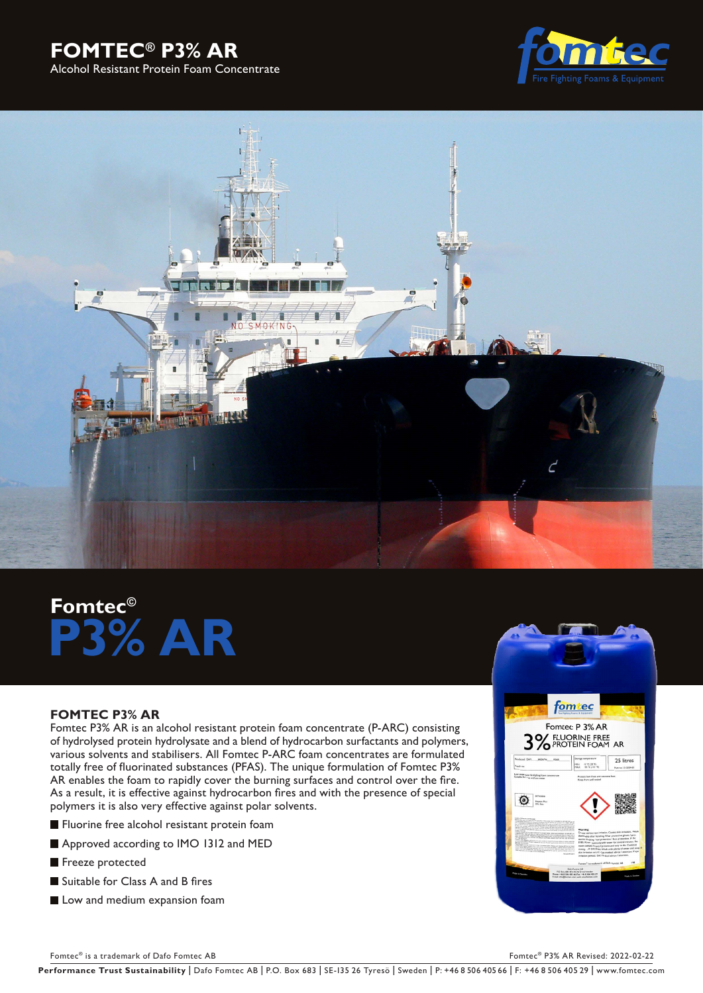# **FOMTEC® P3% AR**  Alcohol Resistant Protein Foam Concentrate





# **Fomtec© P3% AR**

# **FOMTEC P3% AR**

Fomtec P3% AR is an alcohol resistant protein foam concentrate (P-ARC) consisting of hydrolysed protein hydrolysate and a blend of hydrocarbon surfactants and polymers, various solvents and stabilisers. All Fomtec P-ARC foam concentrates are formulated totally free of fluorinated substances (PFAS). The unique formulation of Fomtec P3% AR enables the foam to rapidly cover the burning surfaces and control over the fire. As a result, it is effective against hydrocarbon fires and with the presence of special polymers it is also very effective against polar solvents.

**Fluorine free alcohol resistant protein foam** 

- Approved according to IMO 1312 and MED
- Freeze protected
- Suitable for Class A and B fires
- Low and medium expansion foam



Fomtec® is a trademark of Dafo Fomtec AB For the Second AB For the Second Associates AB For the Second AB For the Second AB For the Second AB For the Second AB For the Second AB For the Second AB For the Second AB Second A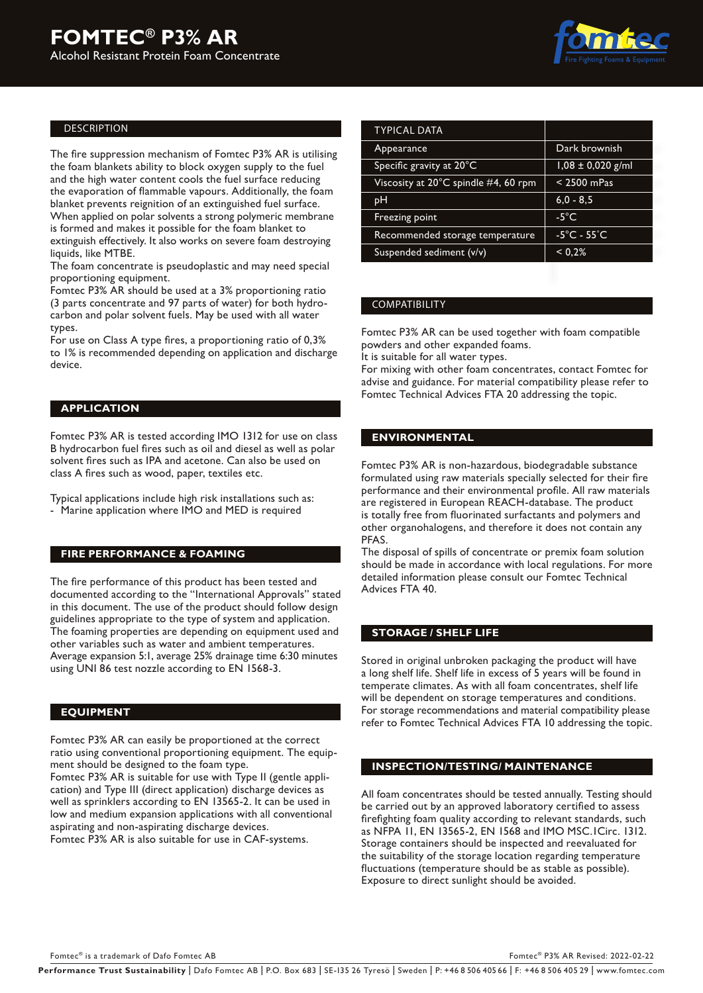

#### DESCRIPTION

The fire suppression mechanism of Fomtec P3% AR is utilising the foam blankets ability to block oxygen supply to the fuel and the high water content cools the fuel surface reducing the evaporation of flammable vapours. Additionally, the foam blanket prevents reignition of an extinguished fuel surface. When applied on polar solvents a strong polymeric membrane is formed and makes it possible for the foam blanket to extinguish effectively. It also works on severe foam destroying liquids, like MTBE.

The foam concentrate is pseudoplastic and may need special proportioning equipment.

Fomtec P3% AR should be used at a 3% proportioning ratio (3 parts concentrate and 97 parts of water) for both hydrocarbon and polar solvent fuels. May be used with all water types.

For use on Class A type fires, a proportioning ratio of 0,3% to 1% is recommended depending on application and discharge device.

## **APPLICATION**

Fomtec P3% AR is tested according IMO 1312 for use on class B hydrocarbon fuel fires such as oil and diesel as well as polar solvent fires such as IPA and acetone. Can also be used on class A fires such as wood, paper, textiles etc.

Typical applications include high risk installations such as: - Marine application where IMO and MED is required

## **FIRE PERFORMANCE & FOAMING**

The fire performance of this product has been tested and documented according to the "International Approvals" stated in this document. The use of the product should follow design guidelines appropriate to the type of system and application. The foaming properties are depending on equipment used and other variables such as water and ambient temperatures. Average expansion 5:1, average 25% drainage time 6:30 minutes using UNI 86 test nozzle according to EN 1568-3.

#### **EQUIPMENT**

Fomtec P3% AR can easily be proportioned at the correct ratio using conventional proportioning equipment. The equipment should be designed to the foam type.

Fomtec P3% AR is suitable for use with Type II (gentle application) and Type III (direct application) discharge devices as well as sprinklers according to EN 13565-2. It can be used in low and medium expansion applications with all conventional aspirating and non-aspirating discharge devices.

Fomtec P3% AR is also suitable for use in CAF-systems.

| <b>TYPICAL DATA</b>                             |                                  |  |
|-------------------------------------------------|----------------------------------|--|
| Appearance                                      | Dark brownish                    |  |
| Specific gravity at 20°C                        | $1,08 \pm 0,020$ g/ml            |  |
| Viscosity at 20 $^{\circ}$ C spindle #4, 60 rpm | $<$ 2500 mPas                    |  |
| pН                                              | $6,0 - 8,5$                      |  |
| Freezing point                                  | $-5^{\circ}$ C                   |  |
| Recommended storage temperature                 | $-5^{\circ}$ C - 55 $^{\circ}$ C |  |
| Suspended sediment (v/v)                        | < 0.2%                           |  |
|                                                 |                                  |  |

#### COMPATIBILITY

Fomtec P3% AR can be used together with foam compatible powders and other expanded foams.

It is suitable for all water types.

For mixing with other foam concentrates, contact Fomtec for advise and guidance. For material compatibility please refer to Fomtec Technical Advices FTA 20 addressing the topic.

#### **ENVIRONMENTAL**

Fomtec P3% AR is non-hazardous, biodegradable substance formulated using raw materials specially selected for their fire performance and their environmental profile. All raw materials are registered in European REACH-database. The product is totally free from fluorinated surfactants and polymers and other organohalogens, and therefore it does not contain any PFAS.

The disposal of spills of concentrate or premix foam solution should be made in accordance with local regulations. For more detailed information please consult our Fomtec Technical Advices FTA 40.

#### **STORAGE / SHELF LIFE**

Stored in original unbroken packaging the product will have a long shelf life. Shelf life in excess of 5 years will be found in temperate climates. As with all foam concentrates, shelf life will be dependent on storage temperatures and conditions. For storage recommendations and material compatibility please refer to Fomtec Technical Advices FTA 10 addressing the topic.

#### **INSPECTION/TESTING/ MAINTENANCE**

All foam concentrates should be tested annually. Testing should be carried out by an approved laboratory certified to assess firefighting foam quality according to relevant standards, such as NFPA 11, EN 13565-2, EN 1568 and IMO MSC.1Circ. 1312. Storage containers should be inspected and reevaluated for the suitability of the storage location regarding temperature fluctuations (temperature should be as stable as possible). Exposure to direct sunlight should be avoided.

Performance Trust Sustainability | Dafo Fomtec AB | P.O. Box 683 | SE-135 26 Tyresö | Sweden | P: +46 8 506 405 66 | F: +46 8 506 405 29 | www.fomtec.com